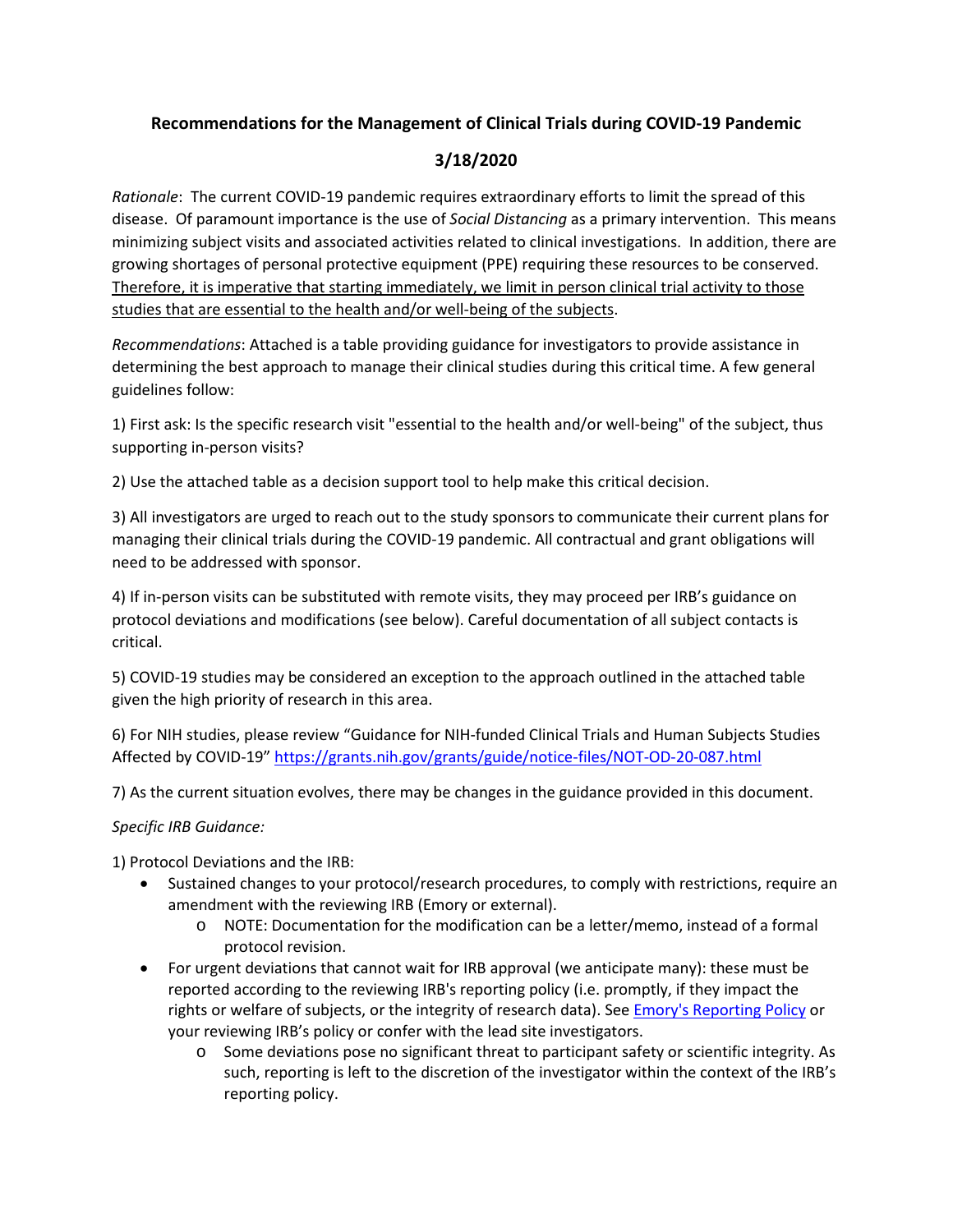## **Recommendations for the Management of Clinical Trials during COVID-19 Pandemic**

## **3/18/2020**

*Rationale*: The current COVID-19 pandemic requires extraordinary efforts to limit the spread of this disease. Of paramount importance is the use of *Social Distancing* as a primary intervention. This means minimizing subject visits and associated activities related to clinical investigations. In addition, there are growing shortages of personal protective equipment (PPE) requiring these resources to be conserved. Therefore, it is imperative that starting immediately, we limit in person clinical trial activity to those studies that are essential to the health and/or well-being of the subjects.

*Recommendations*: Attached is a table providing guidance for investigators to provide assistance in determining the best approach to manage their clinical studies during this critical time. A few general guidelines follow:

1) First ask: Is the specific research visit "essential to the health and/or well-being" of the subject, thus supporting in-person visits?

2) Use the attached table as a decision support tool to help make this critical decision.

3) All investigators are urged to reach out to the study sponsors to communicate their current plans for managing their clinical trials during the COVID-19 pandemic. All contractual and grant obligations will need to be addressed with sponsor.

4) If in-person visits can be substituted with remote visits, they may proceed per IRB's guidance on protocol deviations and modifications (see below). Careful documentation of all subject contacts is critical.

5) COVID-19 studies may be considered an exception to the approach outlined in the attached table given the high priority of research in this area.

6) For NIH studies, please review "Guidance for NIH-funded Clinical Trials and Human Subjects Studies Affected by COVID-19"<https://grants.nih.gov/grants/guide/notice-files/NOT-OD-20-087.html>

7) As the current situation evolves, there may be changes in the guidance provided in this document.

## *Specific IRB Guidance:*

1) Protocol Deviations and the IRB:

- Sustained changes to your protocol/research procedures, to comply with restrictions, require an amendment with the reviewing IRB (Emory or external).
	- o NOTE: Documentation for the modification can be a letter/memo, instead of a formal protocol revision.
- For urgent deviations that cannot wait for IRB approval (we anticipate many): these must be reported according to the reviewing IRB's reporting policy (i.e. promptly, if they impact the rights or welfare of subjects, or the integrity of research data). See [Emory's Reporting Policy](http://irb.emory.edu/documents/guidance_RE_Chart.pdf) or your reviewing IRB's policy or confer with the lead site investigators.
	- o Some deviations pose no significant threat to participant safety or scientific integrity. As such, reporting is left to the discretion of the investigator within the context of the IRB's reporting policy.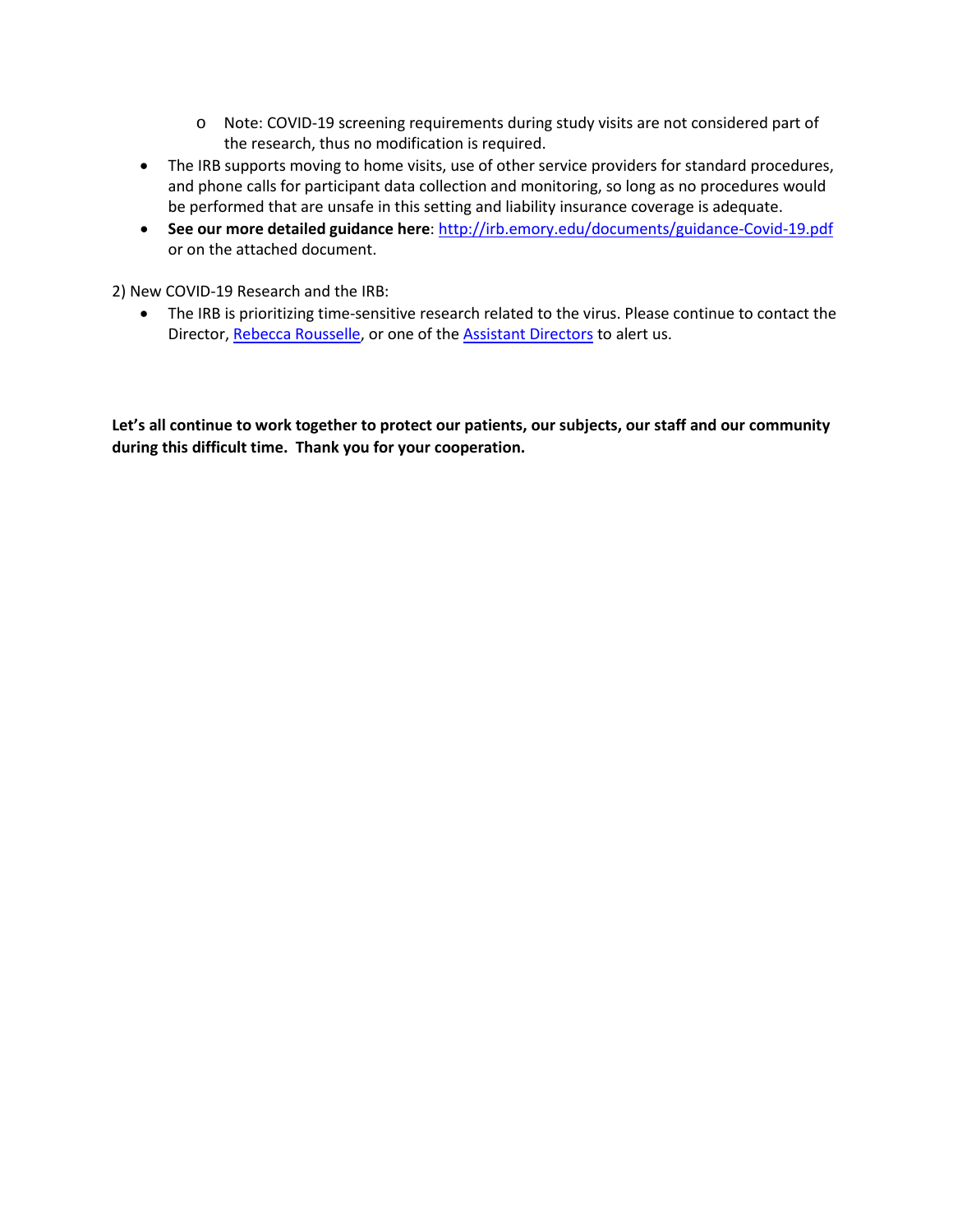- o Note: COVID-19 screening requirements during study visits are not considered part of the research, thus no modification is required.
- The IRB supports moving to home visits, use of other service providers for standard procedures, and phone calls for participant data collection and monitoring, so long as no procedures would be performed that are unsafe in this setting and liability insurance coverage is adequate.
- **See our more detailed guidance here**:<http://irb.emory.edu/documents/guidance-Covid-19.pdf> or on the attached document.

2) New COVID-19 Research and the IRB:

• The IRB is prioritizing time-sensitive research related to the virus. Please continue to contact the Director, [Rebecca Rousselle,](mailto:rrouss2@emory.edu) or one of th[e Assistant Directors](http://irb.emory.edu/about/staff.html) to alert us.

**Let's all continue to work together to protect our patients, our subjects, our staff and our community during this difficult time. Thank you for your cooperation.**